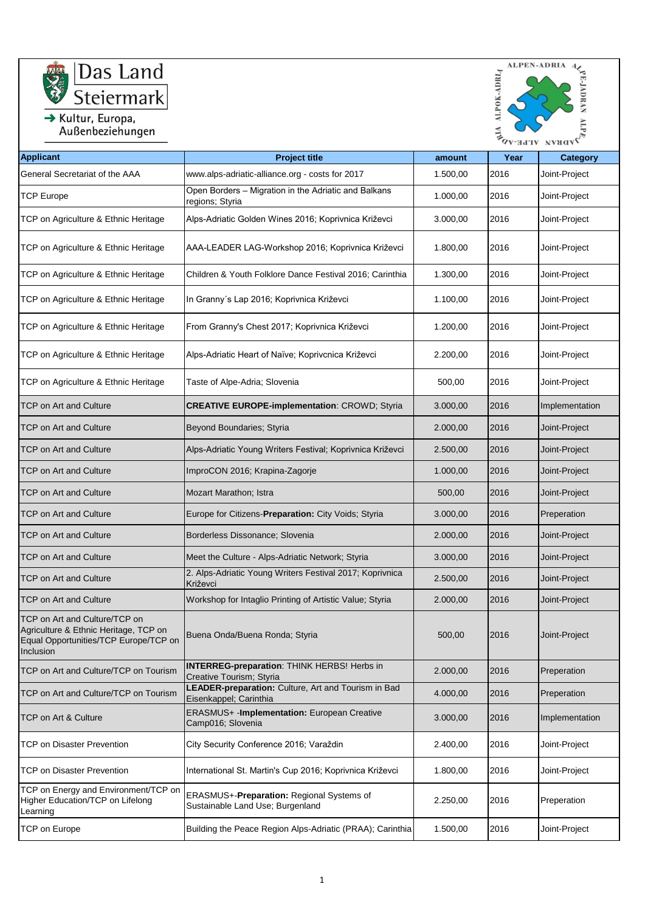